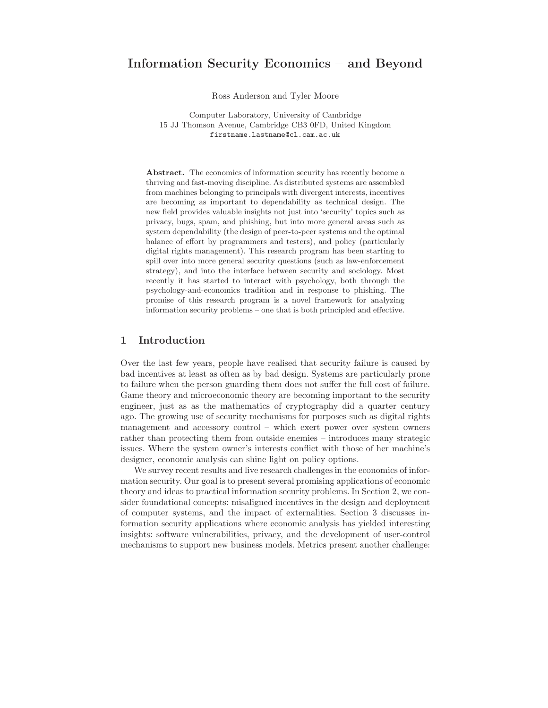# Information Security Economics – and Beyond

Ross Anderson and Tyler Moore

Computer Laboratory, University of Cambridge 15 JJ Thomson Avenue, Cambridge CB3 0FD, United Kingdom firstname.lastname@cl.cam.ac.uk

Abstract. The economics of information security has recently become a thriving and fast-moving discipline. As distributed systems are assembled from machines belonging to principals with divergent interests, incentives are becoming as important to dependability as technical design. The new field provides valuable insights not just into 'security' topics such as privacy, bugs, spam, and phishing, but into more general areas such as system dependability (the design of peer-to-peer systems and the optimal balance of effort by programmers and testers), and policy (particularly digital rights management). This research program has been starting to spill over into more general security questions (such as law-enforcement strategy), and into the interface between security and sociology. Most recently it has started to interact with psychology, both through the psychology-and-economics tradition and in response to phishing. The promise of this research program is a novel framework for analyzing information security problems – one that is both principled and effective.

## 1 Introduction

Over the last few years, people have realised that security failure is caused by bad incentives at least as often as by bad design. Systems are particularly prone to failure when the person guarding them does not suffer the full cost of failure. Game theory and microeconomic theory are becoming important to the security engineer, just as as the mathematics of cryptography did a quarter century ago. The growing use of security mechanisms for purposes such as digital rights management and accessory control – which exert power over system owners rather than protecting them from outside enemies – introduces many strategic issues. Where the system owner's interests conflict with those of her machine's designer, economic analysis can shine light on policy options.

We survey recent results and live research challenges in the economics of information security. Our goal is to present several promising applications of economic theory and ideas to practical information security problems. In Section 2, we consider foundational concepts: misaligned incentives in the design and deployment of computer systems, and the impact of externalities. Section 3 discusses information security applications where economic analysis has yielded interesting insights: software vulnerabilities, privacy, and the development of user-control mechanisms to support new business models. Metrics present another challenge: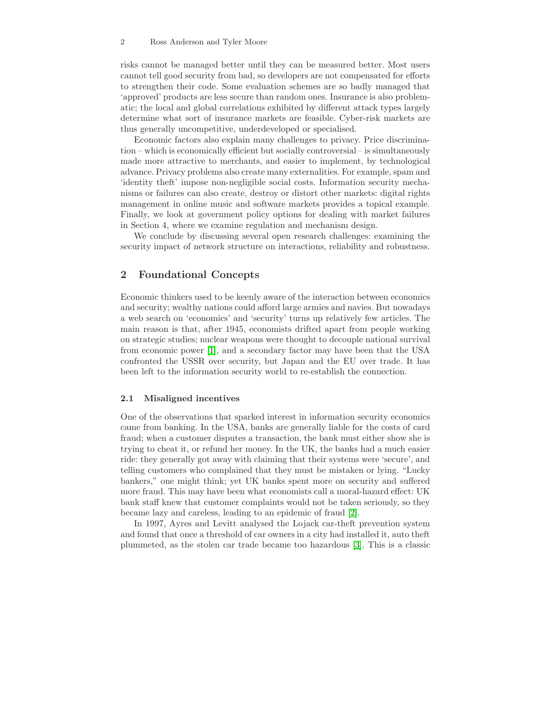risks cannot be managed better until they can be measured better. Most users cannot tell good security from bad, so developers are not compensated for efforts to strengthen their code. Some evaluation schemes are so badly managed that 'approved' products are less secure than random ones. Insurance is also problematic; the local and global correlations exhibited by different attack types largely determine what sort of insurance markets are feasible. Cyber-risk markets are thus generally uncompetitive, underdeveloped or specialised.

Economic factors also explain many challenges to privacy. Price discrimination – which is economically efficient but socially controversial – is simultaneously made more attractive to merchants, and easier to implement, by technological advance. Privacy problems also create many externalities. For example, spam and 'identity theft' impose non-negligible social costs. Information security mechanisms or failures can also create, destroy or distort other markets: digital rights management in online music and software markets provides a topical example. Finally, we look at government policy options for dealing with market failures in Section 4, where we examine regulation and mechanism design.

We conclude by discussing several open research challenges: examining the security impact of network structure on interactions, reliability and robustness.

## 2 Foundational Concepts

Economic thinkers used to be keenly aware of the interaction between economics and security; wealthy nations could afford large armies and navies. But nowadays a web search on 'economics' and 'security' turns up relatively few articles. The main reason is that, after 1945, economists drifted apart from people working o[n](#page-18-0) strategic studies; nuclear weapons were thought to decouple national survival from economic power [1], and a secondary factor may have been that the USA confronted the USSR over security, but Japan and the EU over trade. It has been left to the information security world to re-establish the connection.

### 2.1 Misaligned incentives

One of the observations that sparked interest in information security economics came from banking. In the USA, banks are generally liable for the costs of card fraud; when a customer disputes a transaction, the bank must either show she is trying to cheat it, or refund her money. In the UK, the banks had a much easier ride: they generally got away with claiming that their systems were 'secure', and telling customers who complained that they must be mistaken or lying. "Lucky bankers," one might think; yet UK banks spent more on security and suffered more fraud. This may have been what economists call a moral-hazard effect: UK bank staff knew that customer compl[ain](#page-18-1)ts would not be taken seriously, so they became lazy and careless, leading to an epidemic of fraud [2].

In 1997, Ayres and Levitt analysed the Lojack car-theft prevention system and found that once a threshold of car [ow](#page-18-2)ners in a city had installed it, auto theft plummeted, as the stolen car trade became too hazardous [3]. This is a classic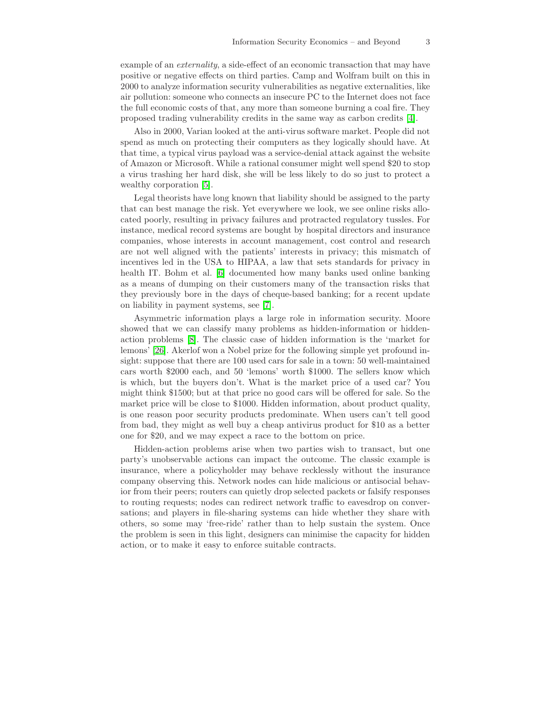example of an *externality*, a side-effect of an economic transaction that may have positive or negative effects on third parties. Camp and Wolfram built on this in 2000 to analyze information security vulnerabilities as negative externalities, like air pollution: someone who connects an insecure PC to the Internet does not face the full economic costs of that, any more than someo[ne](#page-18-3) burning a coal fire. They proposed trading vulnerability credits in the same way as carbon credits [4].

Also in 2000, Varian looked at the anti-virus software market. People did not spend as much on protecting their computers as they logically should have. At that time, a typical virus payload was a service-denial attack against the website of Amazon or Microsoft. While a rational consumer might well spend \$20 to stop [a](#page-18-4) virus trashing her hard disk, she will be less likely to do so just to protect a wealthy corporation [5].

Legal theorists have long known that liability should be assigned to the party that can best manage the risk. Yet everywhere we look, we see online risks allocated poorly, resulting in privacy failures and protracted regulatory tussles. For instance, medical record systems are bought by hospital directors and insurance companies, whose interests in account management, cost control and research are not well aligned with the patients' interests in privacy; this mismatch of inc[ent](#page-19-0)ives led in the USA to HIPAA, a law that sets standards for privacy in health IT. Bohm et al. [6] documented how many banks used online banking as a means of dumping on their customers many of the transaction risks that they previously [b](#page-19-1)ore in the days of cheque-based banking; for a recent update on liability in payment systems, see [7].

Asymmetric information plays a large role in information security. Moore showed that we can classify many problems as hidden-information or hiddenaction problems [8]. The classic case of hidden information is the 'market for lemons' [26]. Akerlof won a Nobel prize for the following simple yet profound insight: suppose that there are 100 used cars for sale in a town: 50 well-maintained cars worth \$2000 each, and 50 'lemons' worth \$1000. The sellers know which is which, but the buyers don't. What is the market price of a used car? You might think \$1500; but at that price no good cars will be offered for sale. So the market price will be close to \$1000. Hidden information, about product quality, is one reason poor security products predominate. When users can't tell good from bad, they might as well buy a cheap antivirus product for \$10 as a better one for \$20, and we may expect a race to the bottom on price.

Hidden-action problems arise when two parties wish to transact, but one party's unobservable actions can impact the outcome. The classic example is insurance, where a policyholder may behave recklessly without the insurance company observing this. Network nodes can hide malicious or antisocial behavior from their peers; routers can quietly drop selected packets or falsify responses to routing requests; nodes can redirect network traffic to eavesdrop on conversations; and players in file-sharing systems can hide whether they share with others, so some may 'free-ride' rather than to help sustain the system. Once the problem is seen in this light, designers can minimise the capacity for hidden action, or to make it easy to enforce suitable contracts.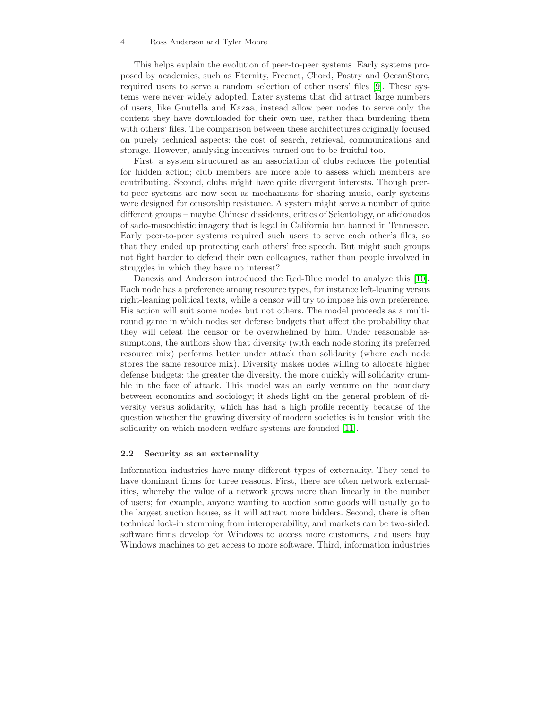This helps explain the evolution of peer-to-peer systems. Early systems proposed by academics, such as Eternity, Free[net](#page-19-2), Chord, Pastry and OceanStore, required users to serve a random selection of other users' files [9]. These systems were never widely adopted. Later systems that did attract large numbers of users, like Gnutella and Kazaa, instead allow peer nodes to serve only the content they have downloaded for their own use, rather than burdening them with others' files. The comparison between these architectures originally focused on purely technical aspects: the cost of search, retrieval, communications and storage. However, analysing incentives turned out to be fruitful too.

First, a system structured as an association of clubs reduces the potential for hidden action; club members are more able to assess which members are contributing. Second, clubs might have quite divergent interests. Though peerto-peer systems are now seen as mechanisms for sharing music, early systems were designed for censorship resistance. A system might serve a number of quite different groups – maybe Chinese dissidents, critics of Scientology, or aficionados of sado-masochistic imagery that is legal in California but banned in Tennessee. Early peer-to-peer systems required such users to serve each other's files, so that they ended up protecting each others' free speech. But might such groups not fight harder to defend their own colleagues, rather than people involved in struggles in which they have no interest?

Danezis and Anderson introduced the Red-Blue model to analyze this [10]. Each node has a preference among resource types, for instance left-leaning versus right-leaning political texts, while a censor will try to impose his own preference. His action will suit some nodes but not others. The model proceeds as a multiround game in which nodes set defense budgets that affect the probability that they will defeat the censor or be overwhelmed by him. Under reasonable assumptions, the authors show that diversity (with each node storing its preferred resource mix) performs better under attack than solidarity (where each node stores the same resource mix). Diversity makes nodes willing to allocate higher defense budgets; the greater the diversity, the more quickly will solidarity crumble in the face of attack. This model was an early venture on the boundary between economics and sociology; it sheds light on the general problem of diversity versus solidarity, which has had a high profile recently because of the question whether the growing divers[ity](#page-19-3) of modern societies is in tension with the solidarity on which modern welfare systems are founded [11].

### 2.2 Security as an externality

Information industries have many different types of externality. They tend to have dominant firms for three reasons. First, there are often network externalities, whereby the value of a network grows more than linearly in the number of users; for example, anyone wanting to auction some goods will usually go to the largest auction house, as it will attract more bidders. Second, there is often technical lock-in stemming from interoperability, and markets can be two-sided: software firms develop for Windows to access more customers, and users buy Windows machines to get access to more software. Third, information industries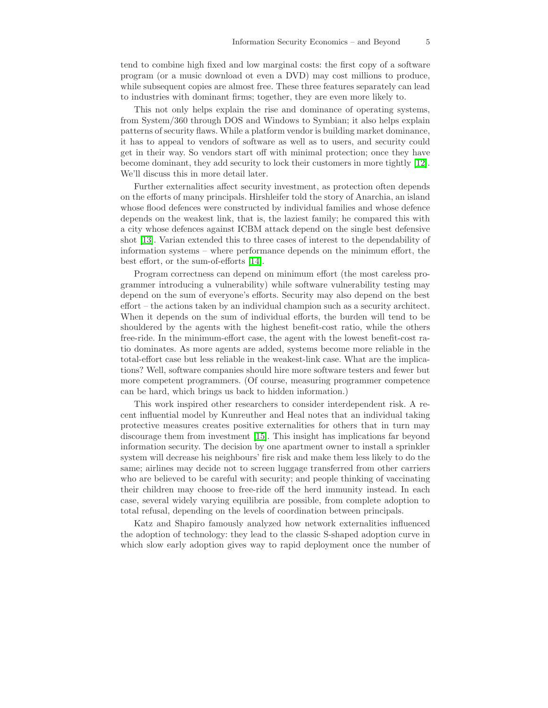tend to combine high fixed and low marginal costs: the first copy of a software program (or a music download ot even a DVD) may cost millions to produce, while subsequent copies are almost free. These three features separately can lead to industries with dominant firms; together, they are even more likely to.

This not only helps explain the rise and dominance of operating systems, from System/360 through DOS and Windows to Symbian; it also helps explain patterns of security flaws. While a platform vendor is building market dominance, it has to appeal to vendors of software as well as to users, and security could get in their way. So vendors start off with minimal p[rote](#page-19-4)ction; once they have become dominant, they add security to lock their customers in more tightly [12]. We'll discuss this in more detail later.

Further externalities affect security investment, as protection often depends on the efforts of many principals. Hirshleifer told the story of Anarchia, an island whose flood defences were constructed by individual families and whose defence depends on the weakest link, that is, the laziest family; he compared this with a city whose defences against ICBM attack depend on the single best defensive shot [13]. Varian extended this to three cases of interest to the dependability of information [sys](#page-19-5)tems – where performance depends on the minimum effort, the best effort, or the sum-of-efforts [14].

Program correctness can depend on minimum effort (the most careless programmer introducing a vulnerability) while software vulnerability testing may depend on the sum of everyone's efforts. Security may also depend on the best effort – the actions taken by an individual champion such as a security architect. When it depends on the sum of individual efforts, the burden will tend to be shouldered by the agents with the highest benefit-cost ratio, while the others free-ride. In the minimum-effort case, the agent with the lowest benefit-cost ratio dominates. As more agents are added, systems become more reliable in the total-effort case but less reliable in the weakest-link case. What are the implications? Well, software companies should hire more software testers and fewer but more competent programmers. (Of course, measuring programmer competence can be hard, which brings us back to hidden information.)

This work inspired other researchers to consider interdependent risk. A recent influential model by Kunreuther and Heal notes that an individual taking protective m[easu](#page-19-6)res creates positive externalities for others that in turn may discourage them from investment [15]. This insight has implications far beyond information security. The decision by one apartment owner to install a sprinkler system will decrease his neighbours' fire risk and make them less likely to do the same; airlines may decide not to screen luggage transferred from other carriers who are believed to be careful with security; and people thinking of vaccinating their children may choose to free-ride off the herd immunity instead. In each case, several widely varying equilibria are possible, from complete adoption to total refusal, depending on the levels of coordination between principals.

Katz and Shapiro famously analyzed how network externalities influenced the adoption of technology: they lead to the classic S-shaped adoption curve in which slow early adoption gives way to rapid deployment once the number of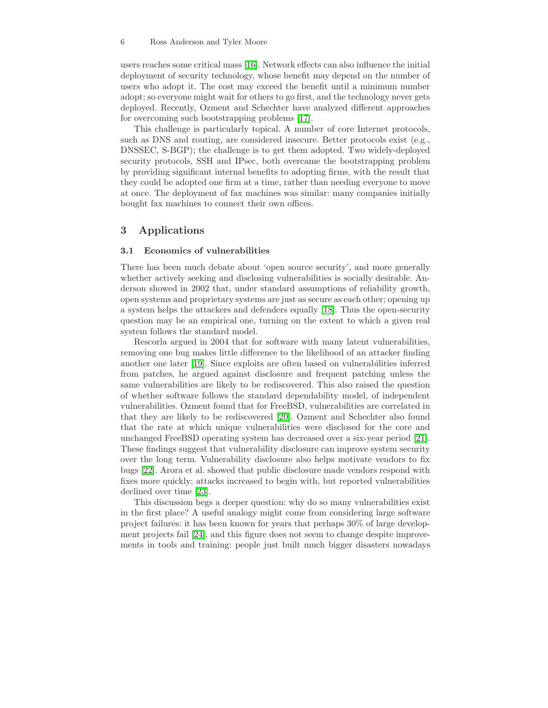users reaches some critical mass [16]. Network effects can also influence the initial deployment of security technology, whose benefit may depend on the number of users who adopt it. The cost may exceed the benefit until a minimum number adopt; so everyone might wait for others to go first, and the technology never gets deployed. Recently, Oz[ment](#page-19-7) and Schechter have analyzed different approaches for overcoming such bootstrapping problems [17].

This challenge is particularly topical. A number of core Internet protocols, such as DNS and routing, are considered insecure. Better protocols exist (e.g., DNSSEC, S-BGP); the challenge is to get them adopted. Two widely-deployed security protocols, SSH and IPsec, both overcame the bootstrapping problem by providing significant internal benefits to adopting firms, with the result that they could be adopted one firm at a time, rather than needing everyone to move at once. The deployment of fax machines was similar: many companies initially bought fax machines to connect their own offices.

## 3 Applications

### 3.1 Economics of vulnerabilities

There has been much debate about 'open source security', and more generally whether actively seeking and disclosing vulnerabilities is socially desirable. Anderson showed in 2002 that, under standard assumptions of reliability growth, open systems and proprietary s[yste](#page-19-8)ms are just as secure as each other; opening up a system helps the attackers and defenders equally [18]. Thus the open-security question may be an empirical one, turning on the extent to which a given real system follows the standard model.

Rescorla argued in 2004 that for software with many latent vulnerabilities, [r](#page-19-9)emoving one bug makes little difference to the likelihood of an attacker finding another one later [19]. Since exploits are often based on vulnerabilities inferred from patches, he argued against disclosure and frequent patching unless the same vulnerabilities are likely to be rediscovered. This also raised the question of whether software follows the standard dependability model, of independent vulnerabilities. Oz[men](#page-19-10)t found that for FreeBSD, vulnerabilities are correlated in that they are likely to be rediscovered [20]. Ozment and Schechter also found that the rate at which unique vulnerabilities were d[iscl](#page-19-11)osed for the core and unchanged FreeBSD operating system has decreased over a six-year period [21]. These findings suggest that vulnerability disclosure can improve system security over the long term. Vulnerability disclosure also helps motivate vendors to fix bugs [22]. Arora et al. showed that public disclosure made vendors respond with [fi](#page-19-12)xes more quickly; attacks increased to begin with, but reported vulnerabilities declined over time [23].

This discussion begs a deeper question: why do so many vulnerabilities exist in the first place? A useful analogy might come from considering large software [p](#page-19-13)roject failures: it has been known for years that perhaps 30% of large development projects fail [24], and this figure does not seem to change despite improvements in tools and training: people just built much bigger disasters nowadays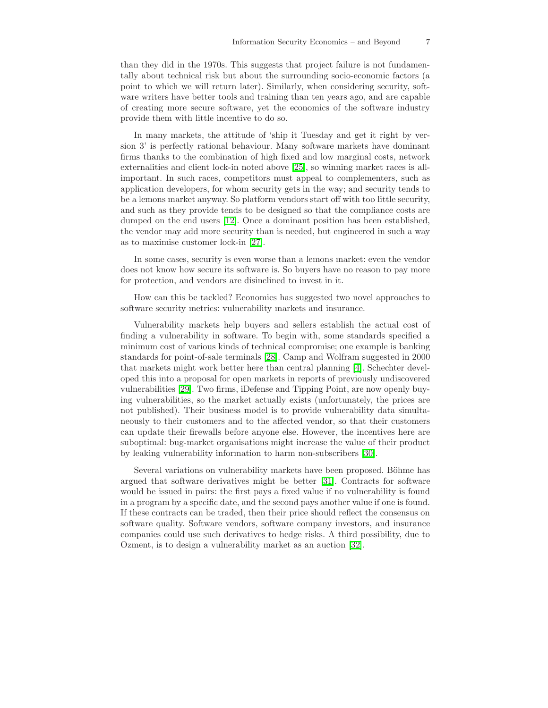than they did in the 1970s. This suggests that project failure is not fundamentally about technical risk but about the surrounding socio-economic factors (a point to which we will return later). Similarly, when considering security, software writers have better tools and training than ten years ago, and are capable of creating more secure software, yet the economics of the software industry provide them with little incentive to do so.

In many markets, the attitude of 'ship it Tuesday and get it right by version 3' is perfectly rational behaviour. Many software markets have dominant firms thanks to the co[mbi](#page-19-14)nation of high fixed and low marginal costs, network externalities and client lock-in noted above [25], so winning market races is allimportant. In such races, competitors must appeal to complementers, such as application developers, for whom security gets in the way; and security tends to be a lemons market anyway. So platform vendors start off with too little security, and s[uch](#page-19-4) as they provide tends to be designed so that the compliance costs are dumped on the end users [12]. Once a dominant position has been established, the vendor [may](#page-19-15) add more security than is needed, but engineered in such a way as to maximise customer lock-in [27].

In some cases, security is even worse than a lemons market: even the vendor does not know how secure its software is. So buyers have no reason to pay more for protection, and vendors are disinclined to invest in it.

How can this be tackled? Economics has suggested two novel approaches to software security metrics: vulnerability markets and insurance.

Vulnerability markets help buyers and sellers establish the actual cost of finding a vulnerability in software. To begin with, some standards specified a minimum cost o[f va](#page-20-0)rious kinds of technical compromise; one example is banking standards for point-of-sale terminals [2[8\].](#page-18-3) Camp and Wolfram suggested in 2000 that markets might work better here than central planning [4]. Schechter developed this into a proposal for open markets in reports of previously undiscovered vulnerabilities [29]. Two firms, iDefense and Tipping Point, are now openly buying vulnerabilities, so the market actually exists (unfortunately, the prices are not published). Their business model is to provide vulnerability data simultaneously to their customers and to the affected vendor, so that their customers can update their firewalls before anyone else. However, the incentives here are suboptimal: bug-market organisations mi[ght](#page-20-1) increase the value of their product by leaking vulnerability information to harm non-subscribers [30].

Several variations on vulne[rab](#page-20-2)ility markets have been proposed. Böhme has argued that software derivatives might be better [31]. Contracts for software would be issued in pairs: the first pays a fixed value if no vulnerability is found in a program by a specific date, and the second pays another value if one is found. If these contracts can be traded, then their price should reflect the consensus on software quality. Software vendors, software company investors, and insurance companies could use such derivatives [to](#page-20-3) hedge risks. A third possibility, due to Ozment, is to design a vulnerability market as an auction [32].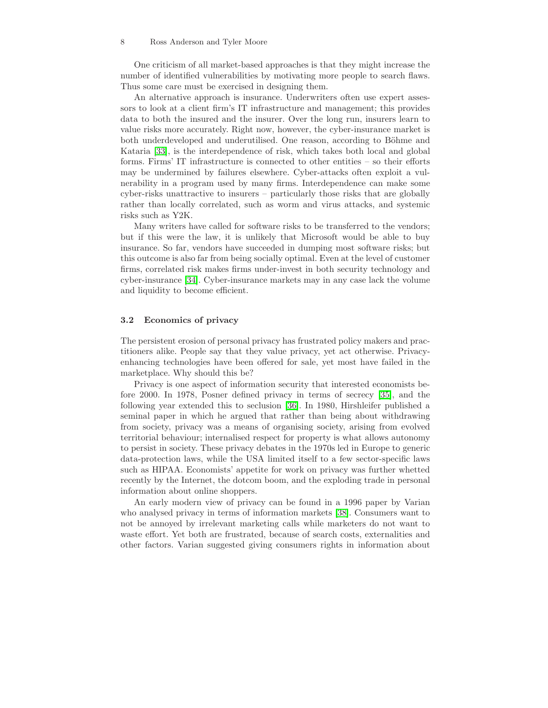One criticism of all market-based approaches is that they might increase the number of identified vulnerabilities by motivating more people to search flaws. Thus some care must be exercised in designing them.

An alternative approach is insurance. Underwriters often use expert assessors to look at a client firm's IT infrastructure and management; this provides data to both the insured and the insurer. Over the long run, insurers learn to value risks more accurately. Right now, however, the cyber-insurance market is both underdeveloped and underutilised. One reason, according to Böhme and Kataria [33], is the interdependence of risk, which takes both local and global forms. Firms' IT infrastructure is connected to other entities – so their efforts may be undermined by failures elsewhere. Cyber-attacks often exploit a vulnerability in a program used by many firms. Interdependence can make some cyber-risks unattractive to insurers – particularly those risks that are globally rather than locally correlated, such as worm and virus attacks, and systemic risks such as Y2K.

Many writers have called for software risks to be transferred to the vendors; but if this were the law, it is unlikely that Microsoft would be able to buy insurance. So far, vendors have succeeded in dumping most software risks; but this outcome is also far from being socially optimal. Even at the level of customer firms, correlated risk makes firms under-invest in both security technology and cyber-insurance [34]. Cyber-insurance markets may in any case lack the volume and liquidity to become efficient.

### 3.2 Economics of privacy

The persistent erosion of personal privacy has frustrated policy makers and practitioners alike. People say that they value privacy, yet act otherwise. Privacyenhancing technologies have been offered for sale, yet most have failed in the marketplace. Why should this be?

Privacy is one aspect of information secu[rity](#page-20-4) that interested economists before 2000. In 1978, [Pos](#page-20-5)ner defined privacy in terms of secrecy [35], and the following year extended this to seclusion [36]. In 1980, Hirshleifer published a seminal paper in which he argued that rather than being about withdrawing from society, privacy was a means of organising society, arising from evolved territorial behaviour; internalised respect for property is what allows autonomy to persist in society. These privacy debates in the 1970s led in Europe to generic data-protection laws, while the USA limited itself to a few sector-specific laws such as HIPAA. Economists' appetite for work on privacy was further whetted recently by the Internet, the dotcom boom, and the exploding trade in personal information about online shoppers.

An early modern view of priv[acy](#page-20-6) can be found in a 1996 paper by Varian who analysed privacy in terms of information markets [38]. Consumers want to not be annoyed by irrelevant marketing calls while marketers do not want to waste effort. Yet both are frustrated, because of search costs, externalities and other factors. Varian suggested giving consumers rights in information about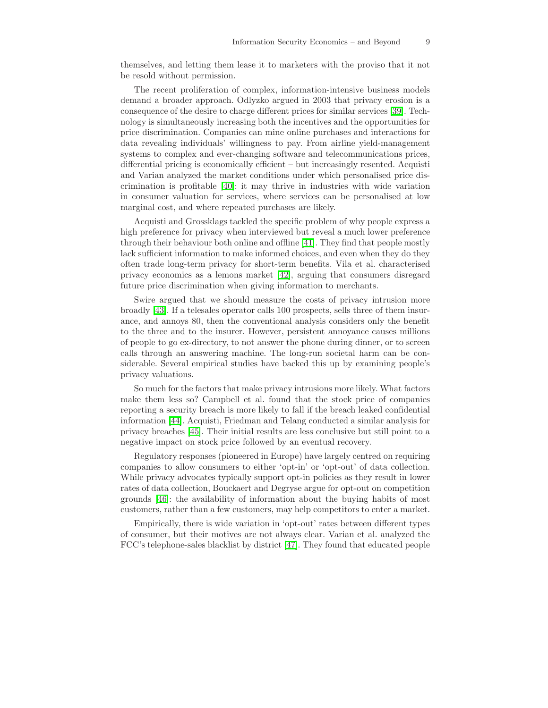themselves, and letting them lease it to marketers with the proviso that it not be resold without permission.

The recent proliferation of complex, information-intensive business models demand a broader approach. Odlyzko argued in [20](#page-20-7)03 that privacy erosion is a consequence of the desire to charge different prices for similar services [39]. Technology is simultaneously increasing both the incentives and the opportunities for price discrimination. Companies can mine online purchases and interactions for data revealing individuals' willingness to pay. From airline yield-management systems to complex and ever-changing software and telecommunications prices, differential pricing is economically efficient – but increasingly resented. Acquisti and [Var](#page-20-8)ian analyzed the market conditions under which personalised price discrimination is profitable [40]: it may thrive in industries with wide variation in consumer valuation for services, where services can be personalised at low marginal cost, and where repeated purchases are likely.

Acquisti and Grossklags tackled the specific problem of why people express a high preference for privac[y w](#page-20-9)hen interviewed but reveal a much lower preference through their behaviour both online and offline [41]. They find that people mostly lack sufficient information to make informed choices, and even when they do they often trade long-te[rm](#page-20-10) privacy for short-term benefits. Vila et al. characterised privacy economics as a lemons market [42], arguing that consumers disregard future price discrimination when giving information to merchants.

Swire argued that we should measure the costs of privacy intrusion more broadly [43]. If a telesales operator calls 100 prospects, sells three of them insurance, and annoys 80, then the conventional analysis considers only the benefit to the three and to the insurer. However, persistent annoyance causes millions of people to go ex-directory, to not answer the phone during dinner, or to screen calls through an answering machine. The long-run societal harm can be considerable. Several empirical studies have backed this up by examining people's privacy valuations.

So much for the factors that make privacy intrusions more likely. What factors make them less so? Campbell et al. found that the stock price of companies reporting a security breach is more likely to fall if the breach leaked confidential information [44]. Acquisti, Friedman and Telang conducted a similar analysis for privacy breaches [45]. Their initial results are less conclusive but still point to a negative impact on stock price followed by an eventual recovery.

Regulatory responses (pioneered in Europe) have largely centred on requiring companies to allow consumers to either 'opt-in' or 'opt-out' of data collection. While privacy advocates typically support opt-in policies as they result in lower rates of data collection, Bouckaert and Degryse argue for opt-out on competition grounds [46]: the availability of information about the buying habits of most customers, rather than a few customers, may help competitors to enter a market.

Empirically, there is wide variation in 'opt-out' rates between different types of consumer, but the[ir m](#page-20-11)otives are not always clear. Varian et al. analyzed the FCC's telephone-sales blacklist by district [47]. They found that educated people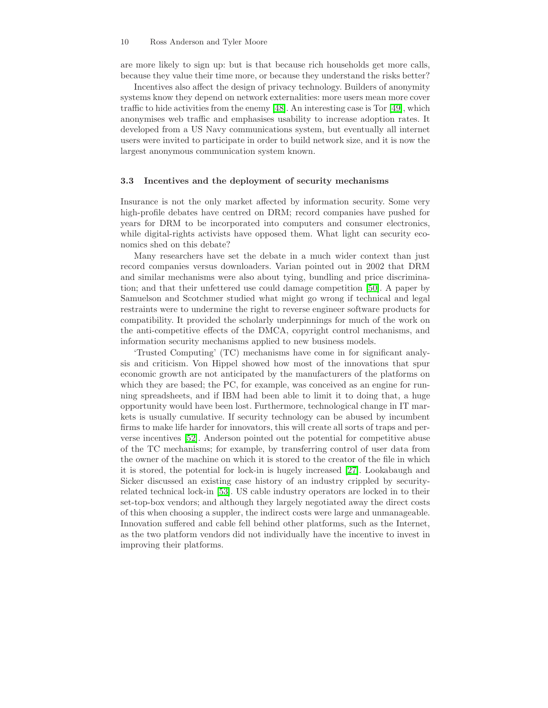are more likely to sign up: but is that because rich households get more calls, because they value their time more, or because they understand the risks better?

Incentives also affect the design of privacy technology. Builders of anonymity systems know the[y de](#page-20-12)pend on network externalit[ies:](#page-21-0) more users mean more cover traffic to hide activities from the enemy [48]. An interesting case is Tor [49], which anonymises web traffic and emphasises usability to increase adoption rates. It developed from a US Navy communications system, but eventually all internet users were invited to participate in order to build network size, and it is now the largest anonymous communication system known.

### 3.3 Incentives and the deployment of security mechanisms

Insurance is not the only market affected by information security. Some very high-profile debates have centred on DRM; record companies have pushed for years for DRM to be incorporated into computers and consumer electronics, while digital-rights activists have opposed them. What light can security economics shed on this debate?

Many researchers have set the debate in a much wider context than just record companies versus downloaders. Varian pointed out in 2002 that DRM and similar mechanisms were also about [tyin](#page-21-1)g, bundling and price discrimination; and that their unfettered use could damage competition [50]. A paper by Samuelson and Scotchmer studied what might go wrong if technical and legal restraints were to undermine the right to reverse engineer software products for compatibility. It provided the scholarly underpinnings for much of the work on the anti-competitive effects of the DMCA, copyright control mechanisms, and information security mechanisms applied to new business models.

'Trusted Computing' (TC) mechanisms have come in for significant analysis and criticism. Von Hippel showed how most of the innovations that spur economic growth are not anticipated by the manufacturers of the platforms on which they are based; the PC, for example, was conceived as an engine for running spreadsheets, and if IBM had been able to limit it to doing that, a huge opportunity would have been lost. Furthermore, technological change in IT markets is usually cumulative. If security technology can be abused by incumbent firms to make life harder for innovators, this will create all sorts of traps and perverse incentives [52]. Anderson pointed out the potential for competitive abuse of the TC mechanisms; for example, by transferring control of user data from the owner of the machine on which i[t is](#page-19-15) stored to the creator of the file in which it is stored, the potential for lock-in is hugely increased [27]. Lookabaugh and Sic[ker](#page-21-2) discussed an existing case history of an industry crippled by securityrelated technical lock-in [53]. US cable industry operators are locked in to their set-top-box vendors; and although they largely negotiated away the direct costs of this when choosing a suppler, the indirect costs were large and unmanageable. Innovation suffered and cable fell behind other platforms, such as the Internet, as the two platform vendors did not individually have the incentive to invest in improving their platforms.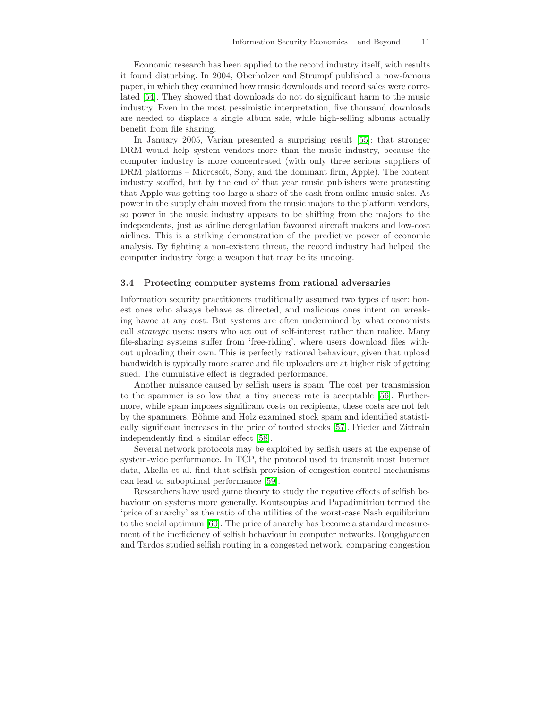Economic research has been applied to the record industry itself, with results it found disturbing. In 2004, Oberholzer and Strumpf published a now-famous paper, in which they examined how music downloads and record sales were correlated [54]. They showed that downloads do not do significant harm to the music industry. Even in the most pessimistic interpretation, five thousand downloads are needed to displace a single album [sale](#page-21-3), while high-selling albums actually benefit from file sharing.

In January 2005, Varian presented a surprising result [55]: that stronger DRM would help system vendors more than the music industry, because the computer industry is more concentrated (with only three serious suppliers of DRM platforms – Microsoft, Sony, and the dominant firm, Apple). The content industry scoffed, but by the end of that year music publishers were protesting that Apple was getting too large a share of the cash from online music sales. As power in the supply chain moved from the music majors to the platform vendors, so power in the music industry appears to be shifting from the majors to the independents, just as airline deregulation favoured aircraft makers and low-cost airlines. This is a striking demonstration of the predictive power of economic analysis. By fighting a non-existent threat, the record industry had helped the computer industry forge a weapon that may be its undoing.

### 3.4 Protecting computer systems from rational adversaries

Information security practitioners traditionally assumed two types of user: honest ones who always behave as directed, and malicious ones intent on wreaking havoc at any cost. But systems are often undermined by what economists call strategic users: users who act out of self-interest rather than malice. Many file-sharing systems suffer from 'free-riding', where users download files without uploading their own. This is perfectly rational behaviour, given that upload bandwidth is typically more scarce and file uploaders are at higher risk of getting sued. The cumulative effect is degraded performance.

Another nuisance caused by selfish usersi[s sp](#page-21-4)am. The cost per transmission to the spammer is so low that a tiny success rate is acceptable [56]. Furthermore, while spam imposes significant costs on recipients, these costs are not felt by the spammers. Böhme and Ho[lz ex](#page-21-5)amined stock spam and identified statistically significa[nt i](#page-21-6)ncreases in the price of touted stocks [57]. Frieder and Zittrain independently find a similar effect [58].

Several network protocols may be exploited by selfish users at the expense of system-wide performance. In TCP, the protocol used to transmit most Internet data, Akella et [al.](#page-21-7) find that selfish provision of congestion control mechanisms can lead to suboptimal performance [59].

Researchers have used game theory to study the negative effects of selfish behaviour on systems more generally. Koutsoupias and Papadimitriou termed the '[pric](#page-21-8)e of anarchy' as the ratio of the utilities of the worst-case Nash equilibrium to the social optimum [60]. The price of anarchy has become a standard measurement of the inefficiency of selfish behaviour in computer networks. Roughgarden and Tardos studied selfish routing in a congested network, comparing congestion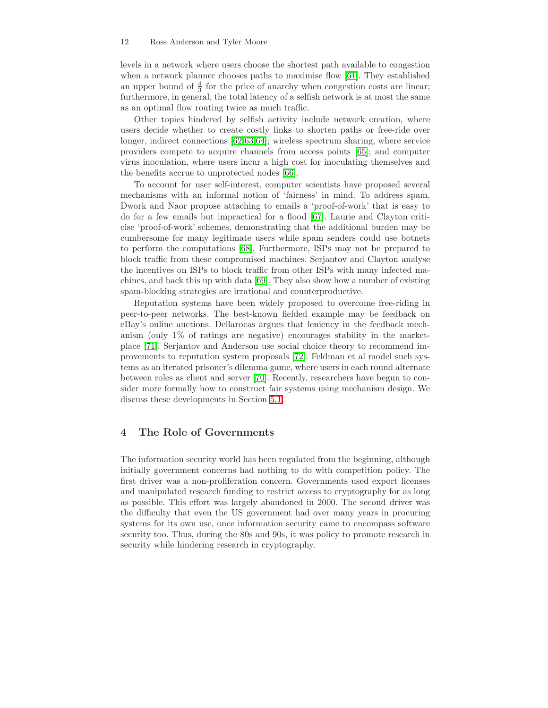levels in a network where users choo[se t](#page-21-9)he shortest path available to congestion when a network planner chooses paths to maximise flow [61]. They established an upper bound of  $\frac{4}{3}$  for the price of anarchy when congestion costs are linear; furthermore, in general, the total latency of a selfish network is at most the same as an optimal flow routing twice as much traffic.

Other topics hindered by selfish activity include network creation, where users d[eci](#page-21-10)[de](#page-21-11) [wh](#page-21-12)ether to create costly links to shorten paths or free-ride over longer, indirect connections [62,63,64]; [wir](#page-21-13)eless spectrum sharing, where service providers compete to acquire channels from access points [65]; and computer virus inoculation, w[here](#page-21-14) users incur a high cost for inoculating themselves and the benefits accrue to unprotected nodes [66].

To account for user self-interest, computer scientists have proposed several mechanisms with an informal notion of 'fairness' in mind. To address spam, Dwork and Naor propose a[ttac](#page-21-15)hing to emails a 'proof-of-work' that is easy to do for a few emails but impractical for a flood [67]. Laurie and Clayton criticise 'proof-of-work' schemes, demonstrating that the additional burden may be cumberso[me](#page-21-16) for many legitimate users while spam senders could use botnets to perform the computations [68]. Furthermore, ISPs may not be prepared to block traffic from these compromised machines. Serjantov and Clayton analyse the incentive[s on](#page-21-17) ISPs to block traffic from other ISPs with many infected machines, and back this up with data [69]. They also show how a number of existing spam-blocking strategies are irrational and counterproductive.

Reputation systems have been widely proposed to overcome free-riding in peer-to-peer networks. The best-known fielded example may be feedback on eBay's online auctions. Dellarocas argues that leniency in the feedback mechanism (only 1% of ratings are negative) encourages stability in the marketplace [71]. Serjantov a[nd A](#page-22-0)nderson use social choice theory to recommend improvements to reputation system proposals [72]. Feldman et al model such systems as an ite[rat](#page-21-18)ed prisoner's dilemma game, where users in each round alternate between roles as client and server [70]. Recently, researchers have begun to consider more form[ally h](#page-14-0)ow to construct fair systems using mechanism design. We discuss these developments in Section 5.1.

## 4 The Role of Governments

The information security world has been regulated from the beginning, although initially government concerns had nothing to do with competition policy. The first driver was a non-proliferation concern. Governments used export licenses and manipulated research funding to restrict access to cryptography for as long as possible. This effort was largely abandoned in 2000. The second driver was the difficulty that even the US government had over many years in procuring systems for its own use, once information security came to encompass software security too. Thus, during the 80s and 90s, it was policy to promote research in security while hindering research in cryptography.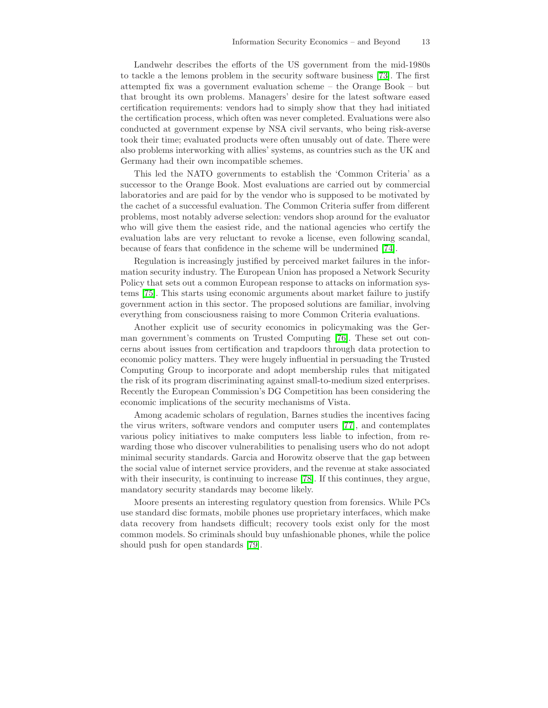Landwehr describes the efforts of the U[S g](#page-22-1)overnment from the mid-1980s to tackle a the lemons problem in the security software business [73]. The first attempted fix was a government evaluation scheme – the Orange Book – but that brought its own problems. Managers' desire for the latest software eased certification requirements: vendors had to simply show that they had initiated the certification process, which often was never completed. Evaluations were also conducted at government expense by NSA civil servants, who being risk-averse took their time; evaluated products were often unusably out of date. There were also problems interworking with allies' systems, as countries such as the UK and Germany had their own incompatible schemes.

This led the NATO governments to establish the 'Common Criteria' as a successor to the Orange Book. Most evaluations are carried out by commercial laboratories and are paid for by the vendor who is supposed to be motivated by the cachet of a successful evaluation. The Common Criteria suffer from different problems, most notably adverse selection: vendors shop around for the evaluator who will give them the easiest ride, and the national agencies who certify the evaluation labs are very reluctant to revoke [a li](#page-22-2)cense, even following scandal, because of fears that confidence in the scheme will be undermined [74].

Regulation is increasingly justified by perceived market failures in the information security industry. The European Union has proposed a Network Security Policy that sets out a common European response to attacks on information systems [75]. This starts using economic arguments about market failure to justify government action in this sector. The proposed solutions are familiar, involving everything from consciousness raising to more Common Criteria evaluations.

Another explicit use of securi[ty](#page-22-3) economics in policymaking was the German government's comments on Trusted Computing [76]. These set out concerns about issues from certification and trapdoors through data protection to economic policy matters. They were hugely influential in persuading the Trusted Computing Group to incorporate and adopt membership rules that mitigated the risk of its program discriminating against small-to-medium sized enterprises. Recently the European Commission's DG Competition has been considering the economic implications of the security mechanisms of Vista.

Among academic scholars of reg[ulat](#page-22-4)ion, Barnes studies the incentives facing the virus writers, software vendors and computer users [77], and contemplates various policy initiatives to make computers less liable to infection, from rewarding those who discover vulnerabilities to penalising users who do not adopt minimal security standards. Garcia and Horowitz observe that the gap between the social value of interne[t se](#page-22-5)rvice providers, and the revenue at stake associated with their insecurity, is continuing to increase [78]. If this continues, they argue, mandatory security standards may become likely.

Moore presents an interesting regulatory question from forensics. While PCs use standard disc formats, mobile phones use proprietary interfaces, which make data recovery from handsets difficult; recovery tools exist only for the most common m[ode](#page-22-6)ls. So criminals should buy unfashionable phones, while the police should push for open standards [79].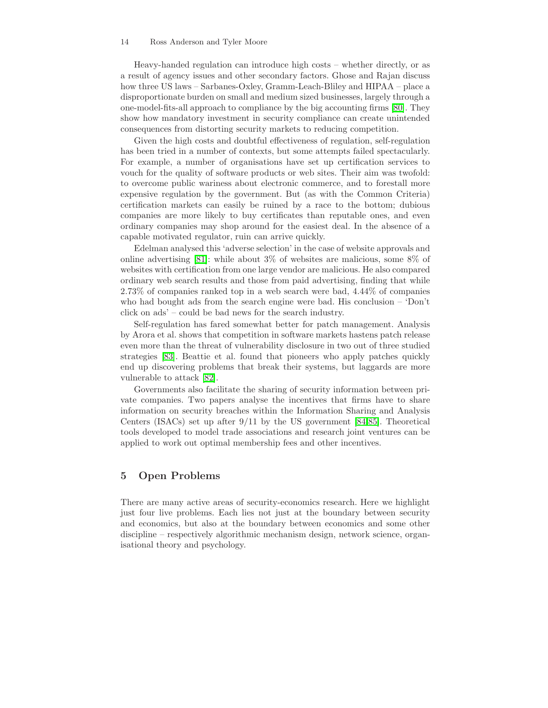Heavy-handed regulation can introduce high costs – whether directly, or as a result of agency issues and other secondary factors. Ghose and Rajan discuss how three US laws – Sarbanes-Oxley, Gramm-Leach-Bliley and HIPAA – place a disproportionate burden on small and medium siz[ed b](#page-22-7)usinesses, largely through a one-model-fits-all approach to compliance by the big accounting firms [80]. They show how mandatory investment in security compliance can create unintended consequences from distorting security markets to reducing competition.

Given the high costs and doubtful effectiveness of regulation, self-regulation has been tried in a number of contexts, but some attempts failed spectacularly. For example, a number of organisations have set up certification services to vouch for the quality of software products or web sites. Their aim was twofold: to overcome public wariness about electronic commerce, and to forestall more expensive regulation by the government. But (as with the Common Criteria) certification markets can easily be ruined by a race to the bottom; dubious companies are more likely to buy certificates than reputable ones, and even ordinary companies may shop around for the easiest deal. In the absence of a capable motivated regulator, ruin can arrive quickly.

Edelman analysed this 'adverse selection' in the case of website approvals and online advertising [81]: while about 3% of websites are malicious, some 8% of websites with certification from one large vendor are malicious. He also compared ordinary web search results and those from paid advertising, finding that while 2.73% of companies ranked top in a web search were bad, 4.44% of companies who had bought ads from the search engine were bad. His conclusion – 'Don't click on ads' – could be bad news for the search industry.

Self-regulation has fared somewhat better for patch management. Analysis by Arora et al. shows that competition in software markets hastens patch release even more than the threat of vulnerability disclosure in two out of three studied strategies [83]. Beattie et al. found that pioneers who apply patches quickly [end](#page-22-8) up discovering problems that break their systems, but laggards are more vulnerable to attack [82].

Governments also facilitate the sharing of security information between private companies. Two papers analyse the incentives that firms have to share information on security breaches withi[n t](#page-22-9)[he](#page-22-10) Information Sharing and Analysis Centers (ISACs) set up after 9/11 by the US government [84,85]. Theoretical tools developed to model trade associations and research joint ventures can be applied to work out optimal membership fees and other incentives.

## 5 Open Problems

There are many active areas of security-economics research. Here we highlight just four live problems. Each lies not just at the boundary between security and economics, but also at the boundary between economics and some other discipline – respectively algorithmic mechanism design, network science, organisational theory and psychology.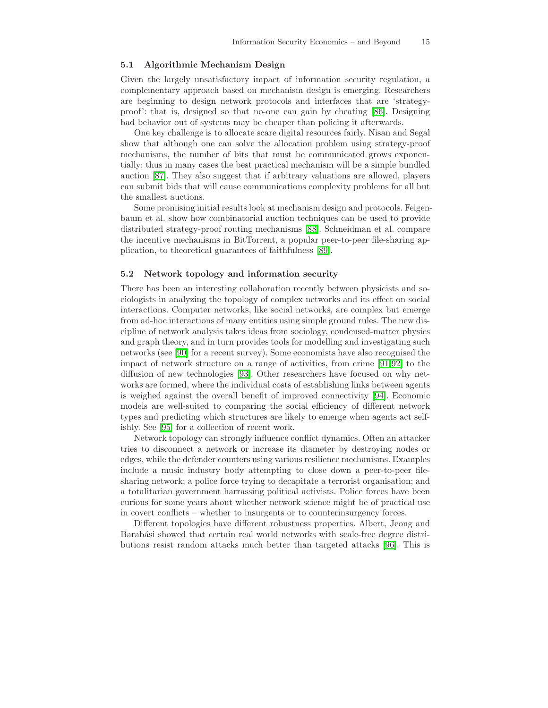## <span id="page-14-0"></span>5.1 Algorithmic Mechanism Design

Given the largely unsatisfactory impact of information security regulation, a complementary approach based on mechanism design is emerging. Researchers are beginning to design network protocol[s an](#page-22-11)d interfaces that are 'strategyproof': that is, designed so that no-one can gain by cheating [86]. Designing bad behavior out of systems may be cheaper than policing it afterwards.

One key challenge is to allocate scare digital resources fairly. Nisan and Segal show that although one can solve the allocation problem using strategy-proof mechanisms, the number of bits that must be communicated grows exponentially; thus in many cases the best practical mechanism will be a simple bundled auction [87]. They also suggest that if arbitrary valuations are allowed, players can submit bids that will cause communications complexity problems for all but the smallest auctions.

Some promising initial results look at mechanism design and protocols. Feigenbaum et al. show how co[mbin](#page-22-12)atorial auction techniques can be used to provide distributed strategy-proof routing mechanisms [88]. Schneidman et al. compare the incentive mechanisms in [BitT](#page-22-13)orrent, a popular peer-to-peer file-sharing application, to theoretical guarantees of faithfulness [89].

### 5.2 Network topology and information security

There has been an interesting collaboration recently between physicists and sociologists in analyzing the topology of complex networks and its effect on social interactions. Computer networks, like social networks, are complex but emerge from ad-hoc interactions of many entities using simple ground rules. The new discipline of network analysis takes ideas from sociology, condensed-matter physics and graph theory, and in turn provides tools for modelling and investigating such networks (see [90] for a recent survey). Some [eco](#page-22-14)[nom](#page-22-15)ists have also recognised the impact o[f ne](#page-23-0)twork structure on a range of activities, from crime [91,92] to the diffusion of new technologies [93]. Other researchers have focused on why networks are formed, where the individual costs [of](#page-23-1) establishing links between agents is weighed against the overall benefit of improved connectivity [94]. Economic models are well-suited to comparing the social efficiency of different network types and predicting which structures are likely to emerge when agents act selfishly. See [95] for a collection of recent work.

Network topology can strongly influence conflict dynamics. Often an attacker tries to disconnect a network or increase its diameter by destroying nodes or edges, while the defender counters using various resilience mechanisms. Examples include a music industry body attempting to close down a peer-to-peer filesharing network; a police force trying to decapitate a terrorist organisation; and a totalitarian government harrassing political activists. Police forces have been curious for some years about whether network science might be of practical use in covert conflicts – whether to insurgents or to counterinsurgency forces.

Different topologies have different robustness properties. Albert, Jeong and Barabási showed that certain real world netw[orks](#page-23-2) with scale-free degree distributions resist random attacks much better than targeted attacks [96]. This is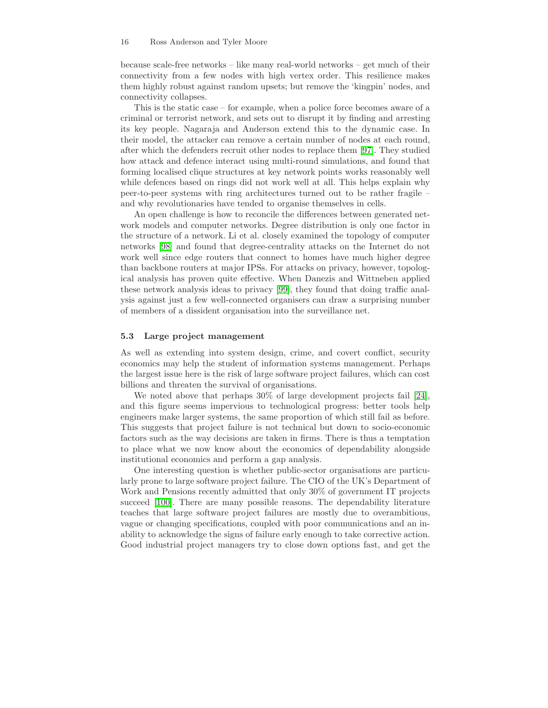because scale-free networks – like many real-world networks – get much of their connectivity from a few nodes with high vertex order. This resilience makes them highly robust against random upsets; but remove the 'kingpin' nodes, and connectivity collapses.

This is the static case – for example, when a police force becomes aware of a criminal or terrorist network, and sets out to disrupt it by finding and arresting its key people. Nagaraja and Anderson extend this to the dynamic case. In their model, the attacker can remove a [cert](#page-23-3)ain number of nodes at each round, after which the defenders recruit other nodes to replace them [97]. They studied how attack and defence interact using multi-round simulations, and found that forming localised clique structures at key network points works reasonably well while defences based on rings did not work well at all. This helps explain why peer-to-peer systems with ring architectures turned out to be rather fragile – and why revolutionaries have tended to organise themselves in cells.

An open challenge is how to reconcile the differences between generated network models and computer networks. Degree distribution is only one factor in the structure of a network. Li et al. closely examined the topology of computer networks [98] and found that degree-centrality attacks on the Internet do not work well since edge routers that connect to homes have much higher degree than backbone routers at major IPSs. For attacks on privacy, however, topological analysis has p[rove](#page-23-4)n quite effective. When Danezis and Wittneben applied these network analysis ideas to privacy [99], they found that doing traffic analysis against just a few well-connected organisers can draw a surprising number of members of a dissident organisation into the surveillance net.

#### 5.3 Large project management

As well as extending into system design, crime, and covert conflict, security economics may help the student of information systems management. Perhaps the largest issue here is the risk of large software proje[ct fa](#page-19-13)ilures, which can cost billions and threaten the survival of organisations.

We noted above that perhaps  $30\%$  of large development projects fail [24], and this figure seems impervious to technological progress: better tools help engineers make larger systems, the same proportion of which still fail as before. This suggests that project failure is not technical but down to socio-economic factors such as the way decisions are taken in firms. There is thus a temptation to place what we now know about the economics of dependability alongside institutional economics and perform a gap analysis.

One interesting question is whether public-sector organisations are particularly prone to large software project failure. The CIO of the UK's Department of Work and Pensions recently admitted that only 30% of government IT projects succeed [100]. There are many possible reasons. The dependability literature teaches that large software project failures are mostly due to overambitious, vague or changing specifications, coupled with poor communications and an inability to acknowledge the signs of failure early enough to take corrective action. Good industrial project managers try to close down options fast, and get the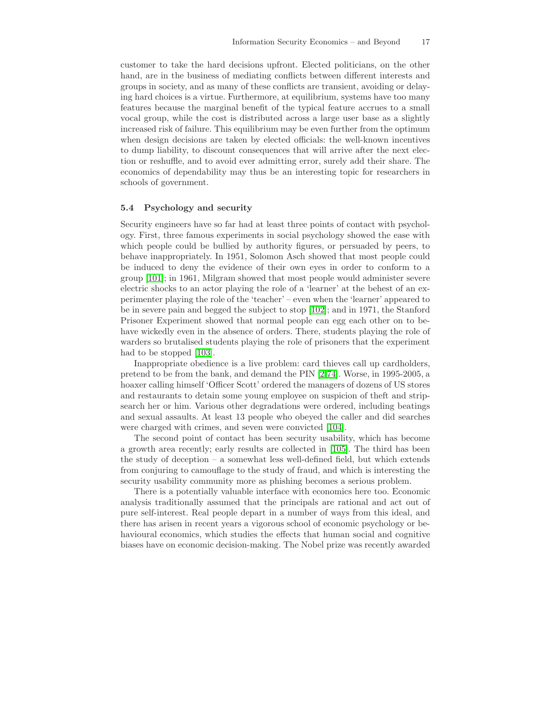customer to take the hard decisions upfront. Elected politicians, on the other hand, are in the business of mediating conflicts between different interests and groups in society, and as many of these conflicts are transient, avoiding or delaying hard choices is a virtue. Furthermore, at equilibrium, systems have too many features because the marginal benefit of the typical feature accrues to a small vocal group, while the cost is distributed across a large user base as a slightly increased risk of failure. This equilibrium may be even further from the optimum when design decisions are taken by elected officials: the well-known incentives to dump liability, to discount consequences that will arrive after the next election or reshuffle, and to avoid ever admitting error, surely add their share. The economics of dependability may thus be an interesting topic for researchers in schools of government.

### 5.4 Psychology and security

Security engineers have so far had at least three points of contact with psychology. First, three famous experiments in social psychology showed the ease with which people could be bullied by authority figures, or persuaded by peers, to behave inappropriately. In 1951, Solomon Asch showed that most people could be induced to deny the evidence of their own eyes in order to conform to a group [101]; in 1961, Milgram showed that most people would administer severe electric shocks to an actor playing the role of a 'learner' at the behest of an experimenter playing the role [of th](#page-23-5)e 'teacher' – even when the 'learner' appeared to be in severe pain and begged the subject to stop [102]; and in 1971, the Stanford Prisoner Experiment showed that normal people can egg each other on to behave wickedly even in the absence of orders. There, students playing the role of [wa](#page-23-6)rders so brutalised students playing the role of prisoners that the experiment had to be stopped [103].

Inappropriate obedience i[s a](#page-18-1) [liv](#page-22-2)e problem: card thieves call up cardholders, pretend to be from the bank, and demand the PIN [2,74]. Worse, in 1995-2005, a hoaxer calling himself 'Officer Scott' ordered the managers of dozens of US stores and restaurants to detain some young employee on suspicion of theft and stripsearch her or him. Various other degradations were ordered, including beatings and sexual assaults. At least 13 [peo](#page-23-7)ple who obeyed the caller and did searches were charged with crimes, and seven were convicted [104].

The second point of contact [has](#page-23-8) been security usability, which has become a growth area recently; early results are collected in [105]. The third has been the study of deception – a somewhat less well-defined field, but which extends from conjuring to camouflage to the study of fraud, and which is interesting the security usability community more as phishing becomes a serious problem.

There is a potentially valuable interface with economics here too. Economic analysis traditionally assumed that the principals are rational and act out of pure self-interest. Real people depart in a number of ways from this ideal, and there has arisen in recent years a vigorous school of economic psychology or behavioural economics, which studies the effects that human social and cognitive biases have on economic decision-making. The Nobel prize was recently awarded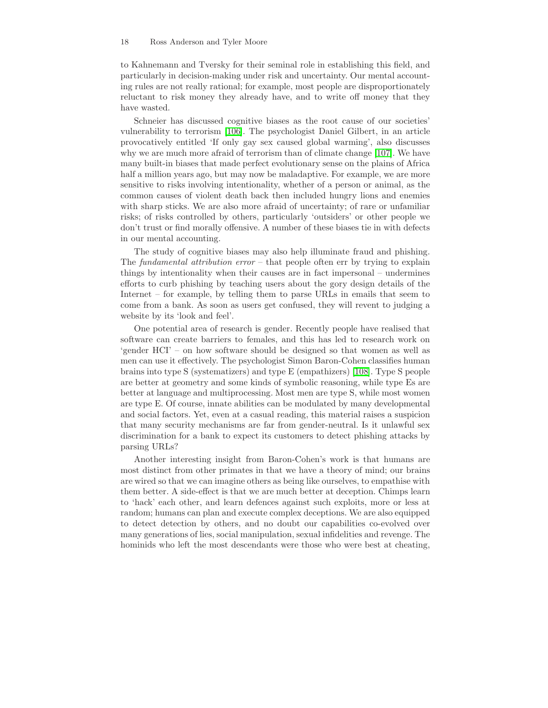to Kahnemann and Tversky for their seminal role in establishing this field, and particularly in decision-making under risk and uncertainty. Our mental accounting rules are not really rational; for example, most people are disproportionately reluctant to risk money they already have, and to write off money that they have wasted.

Sc[hneie](#page-23-9)r has discussed cognitive biases as the root cause of our societies' vulnerability to terrorism [106]. The psychologist Daniel Gilbert, in an article provocatively entitled 'If only gay sex cau[sed g](#page-23-10)lobal warming', also discusses why we are much more afraid of terrorism than of climate change [107]. We have many built-in biases that made perfect evolutionary sense on the plains of Africa half a million years ago, but may now be maladaptive. For example, we are more sensitive to risks involving intentionality, whether of a person or animal, as the common causes of violent death back then included hungry lions and enemies with sharp sticks. We are also more afraid of uncertainty; of rare or unfamiliar risks; of risks controlled by others, particularly 'outsiders' or other people we don't trust or find morally offensive. A number of these biases tie in with defects in our mental accounting.

The study of cognitive biases may also help illuminate fraud and phishing. The fundamental attribution error – that people often err by trying to explain things by intentionality when their causes are in fact impersonal – undermines efforts to curb phishing by teaching users about the gory design details of the Internet – for example, by telling them to parse URLs in emails that seem to come from a bank. As soon as users get confused, they will revent to judging a website by its 'look and feel'.

One potential area of research is gender. Recently people have realised that software can create barriers to females, and this has led to research work on 'gender HCI' – on how software should be designed so that women as well as men can use it effectively. The psychol[ogist](#page-23-11) Simon Baron-Cohen classifies human brains into type S (systematizers) and type E (empathizers) [108]. Type S people are better at geometry and some kinds of symbolic reasoning, while type Es are better at language and multiprocessing. Most men are type S, while most women are type E. Of course, innate abilities can be modulated by many developmental and social factors. Yet, even at a casual reading, this material raises a suspicion that many security mechanisms are far from gender-neutral. Is it unlawful sex discrimination for a bank to expect its customers to detect phishing attacks by parsing URLs?

Another interesting insight from Baron-Cohen's work is that humans are most distinct from other primates in that we have a theory of mind; our brains are wired so that we can imagine others as being like ourselves, to empathise with them better. A side-effect is that we are much better at deception. Chimps learn to 'hack' each other, and learn defences against such exploits, more or less at random; humans can plan and execute complex deceptions. We are also equipped to detect detection by others, and no doubt our capabilities co-evolved over many generations of lies, social manipulation, sexual infidelities and revenge. The hominids who left the most descendants were those who were best at cheating,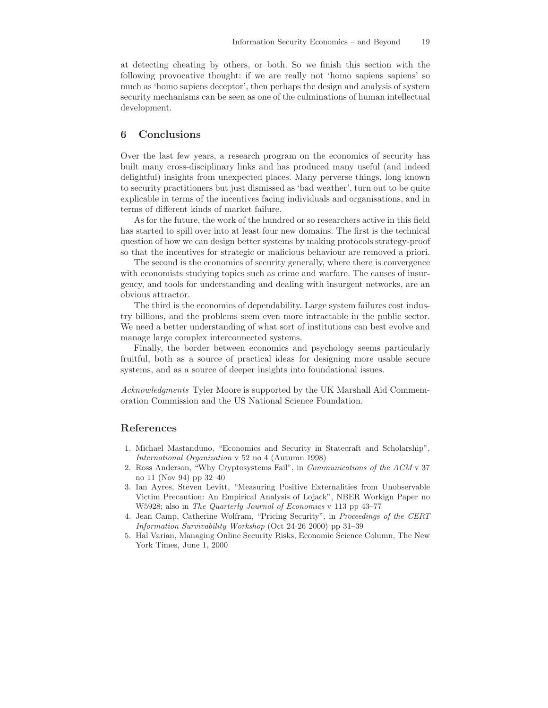at detecting cheating by others, or both. So we finish this section with the following provocative thought: if we are really not 'homo sapiens sapiens' so much as 'homo sapiens deceptor', then perhaps the design and analysis of system security mechanisms can be seen as one of the culminations of human intellectual development.

## 6 Conclusions

Over the last few years, a research program on the economics of security has built many cross-disciplinary links and has produced many useful (and indeed delightful) insights from unexpected places. Many perverse things, long known to security practitioners but just dismissed as 'bad weather', turn out to be quite explicable in terms of the incentives facing individuals and organisations, and in terms of different kinds of market failure.

As for the future, the work of the hundred or so researchers active in this field has started to spill over into at least four new domains. The first is the technical question of how we can design better systems by making protocols strategy-proof so that the incentives for strategic or malicious behaviour are removed a priori.

The second is the economics of security generally, where there is convergence with economists studying topics such as crime and warfare. The causes of insurgency, and tools for understanding and dealing with insurgent networks, are an obvious attractor.

The third is the economics of dependability. Large system failures cost industry billions, and the problems seem even more intractable in the public sector. We need a better understanding of what sort of institutions can best evolve and manage large complex interconnected systems.

Finally, the border between economics and psychology seems particularly fruitful, both as a source of practical ideas for designing more usable secure systems, and as a source of deeper insights into foundational issues.

Acknowledgments Tyler Moore is supported by the UK Marshall Aid Commemoration Commission and the US National Science Foundation.

## <span id="page-18-0"></span>References

- 1. Michael Mastanduno, "Economics and Security in Statecraft and Scholarship", International Organization v 52 no 4 (Autumn 1998)
- <span id="page-18-1"></span>2. Ross Anderson, "Why Cryptosystems Fail", in Communications of the ACM v 37 no 11 (Nov 94) pp 32–40
- <span id="page-18-2"></span>3. Ian Ayres, Steven Levitt, "Measuring Positive Externalities from Unobservable Victim Precaution: An Empirical Analysis of Lojack", NBER Workign Paper no W5928; also in The Quarterly Journal of Economics v 113 pp 43–77
- <span id="page-18-4"></span><span id="page-18-3"></span>4. Jean Camp, Catherine Wolfram, "Pricing Security", in Proceedings of the CERT Information Survivability Workshop (Oct 24-26 2000) pp 31–39
- 5. Hal Varian, Managing Online Security Risks, Economic Science Column, The New York Times, June 1, 2000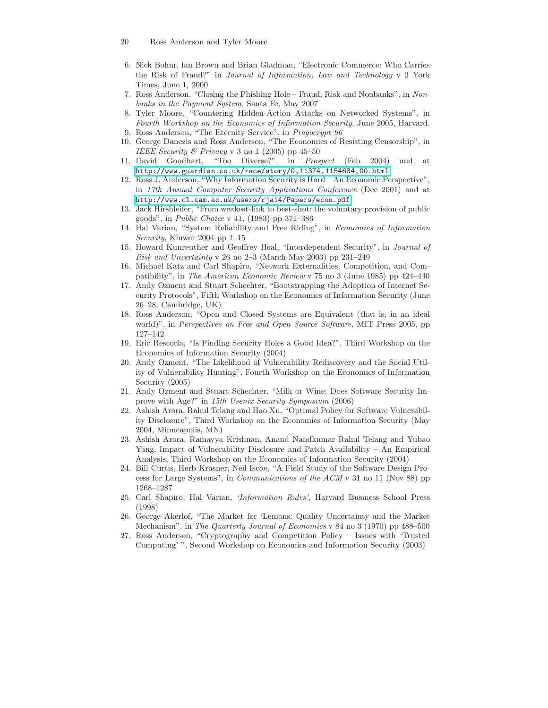- <span id="page-19-1"></span><span id="page-19-0"></span>20 Ross Anderson and Tyler Moore
- 6. Nick Bohm, Ian Brown and Brian Gladman, "Electronic Commerce: Who Carries the Risk of Fraud?" in Journal of Information, Law and Technology v 3 York Times, June 1, 2000
- 7. Ross Anderson, "Closing the Phishing Hole Fraud, Risk and Nonbanks", in Nonbanks in the Payment System, Santa Fe, May 2007
- 8. Tyler Moore, "Countering Hidden-Action Attacks on Networked Systems", in Fourth Workshop on the Economics of Information Security, June 2005, Harvard. 9. Ross Anderson, "The Eternity Service", in Pragocrypt 96
- <span id="page-19-3"></span><span id="page-19-2"></span>10. George Danezis and Ross Anderson, "The Economics of Resisting Censorship", in IEEE Security  $\&$  Privacy v 3 no 1 (2005) pp 45–50
- <span id="page-19-4"></span>[11. David Goodhart, "Too Diverse?", in](http://www.guardian.co.uk/race/story/0,11374,1154684,00.html) Prospect (Feb 2004) and at http://www.guardian.co.uk/race/story/0,11374,1154684,00.html
- 12. Ross J. Anderson, "Why Information Security is Hard An Economic Perspective", in [17th Annual Computer Security A](http://www.cl.cam.ac.uk/users/rja14/Papers/econ.pdf)pplications Conference (Dec 2001) and at http://www.cl.cam.ac.uk/users/rja14/Papers/econ.pdf
- <span id="page-19-5"></span>13. Jack Hirshleifer, "From weakest-link to best-shot: the voluntary provision of public goods", in *Public Choice* v 41,  $(1983)$  pp 371–386
- <span id="page-19-6"></span>14. Hal Varian, "System Reliability and Free Riding", in Economics of Information Security, Kluwer 2004 pp 1–15
- 15. Howard Kunreuther and Geoffrey Heal, "Interdependent Security", in Journal of Risk and Uncertainty v 26 no  $2-3$  (March-May 2003) pp 231-249
- <span id="page-19-7"></span>16. Michael Katz and Carl Shapiro, "Network Externalities, Competition, and Compatibility", in The American Economic Review v 75 no 3 (June 1985) pp 424–440
- <span id="page-19-8"></span>17. Andy Ozment and Stuart Schechter, "Bootstrapping the Adoption of Internet Security Protocols", Fifth Workshop on the Economics of Information Security (June 26–28, Cambridge, UK)
- <span id="page-19-9"></span>18. Ross Anderson, "Open and Closed Systems are Equivalent (that is, in an ideal world)", in *Perspectives on Free and Open Source Software*, MIT Press 2005, pp 127–142
- <span id="page-19-10"></span>19. Eric Rescorla, "Is Finding Security Holes a Good Idea?", Third Workshop on the Economics of Information Security (2004)
- <span id="page-19-11"></span>20. Andy Ozment, "The Likelihood of Vulnerability Rediscovery and the Social Utility of Vulnerability Hunting", Fourth Workshop on the Economics of Information Security (2005)
- 21. Andy Ozment and Stuart Schechter, "Milk or Wine: Does Software Security Improve with Age?" in 15th Usenix Security Symposium (2006)
- <span id="page-19-12"></span>22. Ashish Arora, Rahul Telang and Hao Xu, "Optimal Policy for Software Vulnerability Disclosure", Third Workshop on the Economics of Information Security (May 2004, Minneapolis, MN)
- <span id="page-19-13"></span>23. Ashish Arora, Ramayya Krishnan, Anand Nandkumar Rahul Telang and Yubao Yang, Impact of Vulnerability Disclosure and Patch Availability – An Empirical Analysis, Third Workshop on the Economics of Information Security (2004)
- <span id="page-19-14"></span>24. Bill Curtis, Herb Krasner, Neil Iscoe, "A Field Study of the Software Design Process for Large Systems", in Communications of the ACM v 31 no 11 (Nov 88) pp 1268–1287
- 25. Carl Shapiro, Hal Varian, 'Information Rules', Harvard Business School Press (1998)
- <span id="page-19-15"></span>26. George Akerlof, "The Market for 'Lemons: Quality Uncertainty and the Market Mechanism", in The Quarterly Journal of Economics v 84 no 3 (1970) pp 488–500
- 27. Ross Anderson, "Cryptography and Competition Policy Issues with 'Trusted Computing' ", Second Workshop on Economics and Information Security (2003)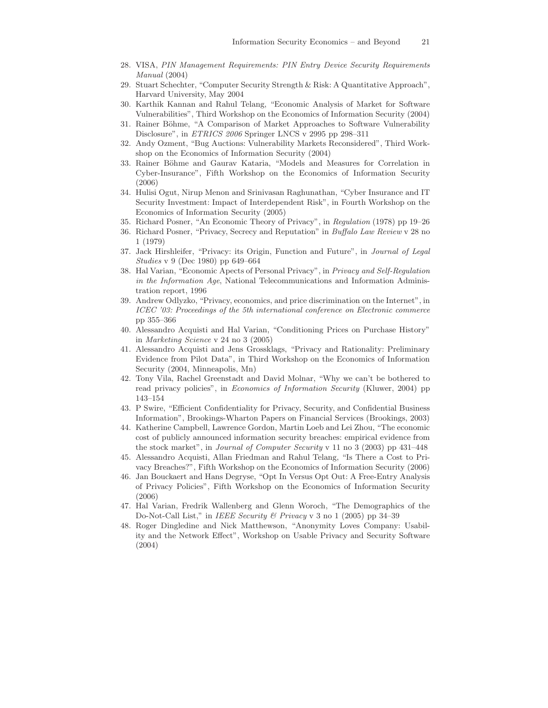- <span id="page-20-0"></span>28. VISA, PIN Management Requirements: PIN Entry Device Security Requirements Manual (2004)
- <span id="page-20-1"></span>29. Stuart Schechter, "Computer Security Strength & Risk: A Quantitative Approach", Harvard University, May 2004
- <span id="page-20-2"></span>30. Karthik Kannan and Rahul Telang, "Economic Analysis of Market for Software Vulnerabilities", Third Workshop on the Economics of Information Security (2004)
- 31. Rainer Böhme, "A Comparison of Market Approaches to Software Vulnerability Disclosure", in ETRICS 2006 Springer LNCS v 2995 pp 298–311
- <span id="page-20-3"></span>32. Andy Ozment, "Bug Auctions: Vulnerability Markets Reconsidered", Third Workshop on the Economics of Information Security (2004)
- 33. Rainer Böhme and Gaurav Kataria, "Models and Measures for Correlation in Cyber-Insurance", Fifth Workshop on the Economics of Information Security (2006)
- 34. Hulisi Ogut, Nirup Menon and Srinivasan Raghunathan, "Cyber Insurance and IT Security Investment: Impact of Interdependent Risk", in Fourth Workshop on the Economics of Information Security (2005)
- <span id="page-20-5"></span><span id="page-20-4"></span>35. Richard Posner, "An Economic Theory of Privacy", in Regulation (1978) pp 19–26
- 36. Richard Posner, "Privacy, Secrecy and Reputation" in Buffalo Law Review v 28 no 1 (1979)
- 37. Jack Hirshleifer, "Privacy: its Origin, Function and Future", in Journal of Legal Studies v 9 (Dec 1980) pp 649–664
- <span id="page-20-6"></span>38. Hal Varian, "Economic Apects of Personal Privacy", in Privacy and Self-Regulation in the Information Age, National Telecommunications and Information Administration report, 1996
- <span id="page-20-7"></span>39. Andrew Odlyzko, "Privacy, economics, and price discrimination on the Internet", in ICEC '03: Proceedings of the 5th international conference on Electronic commerce pp 355–366
- <span id="page-20-8"></span>40. Alessandro Acquisti and Hal Varian, "Conditioning Prices on Purchase History" in Marketing Science v 24 no 3 (2005)
- <span id="page-20-9"></span>41. Alessandro Acquisti and Jens Grossklags, "Privacy and Rationality: Preliminary Evidence from Pilot Data", in Third Workshop on the Economics of Information Security (2004, Minneapolis, Mn)
- <span id="page-20-10"></span>42. Tony Vila, Rachel Greenstadt and David Molnar, "Why we can't be bothered to read privacy policies", in *Economics of Information Security* (Kluwer, 2004) pp 143–154
- 43. P Swire, "Efficient Confidentiality for Privacy, Security, and Confidential Business Information", Brookings-Wharton Papers on Financial Services (Brookings, 2003)
- 44. Katherine Campbell, Lawrence Gordon, Martin Loeb and Lei Zhou, "The economic cost of publicly announced information security breaches: empirical evidence from the stock market", in Journal of Computer Security v 11 no 3 (2003) pp 431–448
- 45. Alessandro Acquisti, Allan Friedman and Rahul Telang, "Is There a Cost to Privacy Breaches?", Fifth Workshop on the Economics of Information Security (2006)
- 46. Jan Bouckaert and Hans Degryse, "Opt In Versus Opt Out: A Free-Entry Analysis of Privacy Policies", Fifth Workshop on the Economics of Information Security (2006)
- <span id="page-20-11"></span>47. Hal Varian, Fredrik Wallenberg and Glenn Woroch, "The Demographics of the Do-Not-Call List," in *IEEE Security*  $\&$  *Privacy* v 3 no 1 (2005) pp 34–39
- <span id="page-20-12"></span>48. Roger Dingledine and Nick Matthewson, "Anonymity Loves Company: Usability and the Network Effect", Workshop on Usable Privacy and Security Software (2004)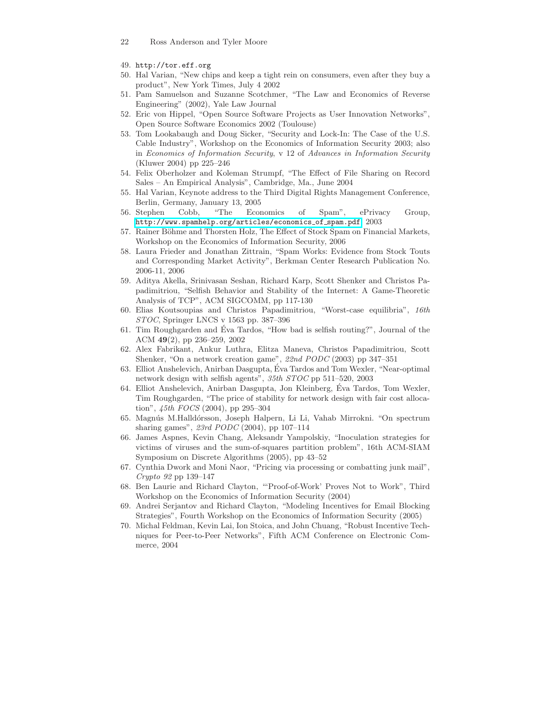- <span id="page-21-1"></span><span id="page-21-0"></span>22 Ross Anderson and Tyler Moore
- 49. http://tor.eff.org
- 50. Hal Varian, "New chips and keep a tight rein on consumers, even after they buy a product", New York Times, July 4 2002
- 51. Pam Samuelson and Suzanne Scotchmer, "The Law and Economics of Reverse Engineering" (2002), Yale Law Journal
- <span id="page-21-2"></span>52. Eric von Hippel, "Open Source Software Projects as User Innovation Networks", Open Source Software Economics 2002 (Toulouse)
- 53. Tom Lookabaugh and Doug Sicker, "Security and Lock-In: The Case of the U.S. Cable Industry", Workshop on the Economics of Information Security 2003; also in Economics of Information Security, v 12 of Advances in Information Security (Kluwer 2004) pp 225–246
- <span id="page-21-3"></span>54. Felix Oberholzer and Koleman Strumpf, "The Effect of File Sharing on Record Sales – An Empirical Analysis", Cambridge, Ma., June 2004
- <span id="page-21-4"></span>55. Hal Varian, Keynote address to the Third Digital Rights Management Conference, Berlin, Germany, January 13, 2005
- <span id="page-21-5"></span>[56. Stephen Cobb, "The Economic](http://www.spamhelp.org/articles/economics_of_spam.pdf)s of Spam", ePrivacy Group, http://www.spamhelp.org/articles/economics of spam.pdf, 2003
- <span id="page-21-6"></span>57. Rainer Böhme and Thorsten Holz, The Effect of Stock Spam on Financial Markets, Workshop on the Economics of Information Security, 2006
- <span id="page-21-7"></span>58. Laura Frieder and Jonathan Zittrain, "Spam Works: Evidence from Stock Touts and Corresponding Market Activity", Berkman Center Research Publication No. 2006-11, 2006
- <span id="page-21-8"></span>59. Aditya Akella, Srinivasan Seshan, Richard Karp, Scott Shenker and Christos Papadimitriou, "Selfish Behavior and Stability of the Internet: A Game-Theoretic Analysis of TCP", ACM SIGCOMM, pp 117-130
- <span id="page-21-9"></span>60. Elias Koutsoupias and Christos Papadimitriou, "Worst-case equilibria", 16th STOC, Springer LNCS v 1563 pp. 387–396
- <span id="page-21-10"></span>61. Tim Roughgarden and Eva Tardos, "How bad is selfish routing?", Journal of the ´ ACM 49(2), pp 236–259, 2002
- <span id="page-21-11"></span>62. Alex Fabrikant, Ankur Luthra, Elitza Maneva, Christos Papadimitriou, Scott Shenker, "On a network creation game", 22nd PODC (2003) pp 347–351
- <span id="page-21-12"></span>63. Elliot Anshelevich, Anirban Dasgupta, Eva Tardos and Tom Wexler, "Near-optimal ´ network design with selfish agents", 35th STOC pp 511–520, 2003
- <span id="page-21-13"></span>64. Elliot Anshelevich, Anirban Dasgupta, Jon Kleinberg, Eva Tardos, Tom Wexler, ´ Tim Roughgarden, "The price of stability for network design with fair cost allocation", 45th FOCS (2004), pp 295–304
- <span id="page-21-14"></span>65. Magnús M.Halldórsson, Joseph Halpern, Li Li, Vahab Mirrokni. "On spectrum sharing games", 23rd PODC (2004), pp 107–114
- <span id="page-21-15"></span>66. James Aspnes, Kevin Chang, Aleksandr Yampolskiy, "Inoculation strategies for victims of viruses and the sum-of-squares partition problem", 16th ACM-SIAM Symposium on Discrete Algorithms (2005), pp 43–52
- <span id="page-21-16"></span>67. Cynthia Dwork and Moni Naor, "Pricing via processing or combatting junk mail", Crypto 92 pp 139–147
- <span id="page-21-17"></span>68. Ben Laurie and Richard Clayton, "'Proof-of-Work' Proves Not to Work", Third Workshop on the Economics of Information Security (2004)
- <span id="page-21-18"></span>69. Andrei Serjantov and Richard Clayton, "Modeling Incentives for Email Blocking Strategies", Fourth Workshop on the Economics of Information Security (2005)
- 70. Michal Feldman, Kevin Lai, Ion Stoica, and John Chuang, "Robust Incentive Techniques for Peer-to-Peer Networks", Fifth ACM Conference on Electronic Commerce, 2004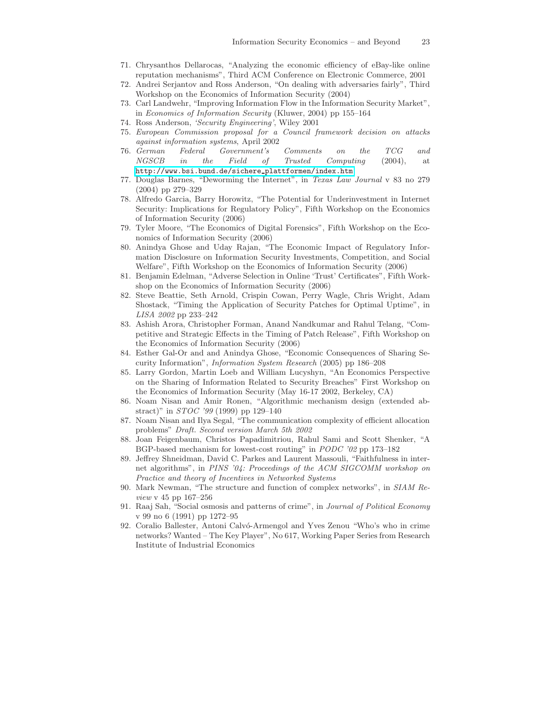- <span id="page-22-0"></span>71. Chrysanthos Dellarocas, "Analyzing the economic efficiency of eBay-like online reputation mechanisms", Third ACM Conference on Electronic Commerce, 2001
- <span id="page-22-1"></span>72. Andrei Serjantov and Ross Anderson, "On dealing with adversaries fairly", Third Workshop on the Economics of Information Security (2004)
- <span id="page-22-2"></span>73. Carl Landwehr, "Improving Information Flow in the Information Security Market", in Economics of Information Security (Kluwer, 2004) pp 155–164
- 74. Ross Anderson, 'Security Engineering', Wiley 2001
- <span id="page-22-3"></span>75. European Commission proposal for a Council framework decision on attacks against information systems, April 2002
- <span id="page-22-4"></span>76. German Federal Government's Comments on the TCG and [NGSCB in the Field of](http://www.bsi.bund.de/sichere_plattformen/index.htm) Trusted Computing (2004), at http://www.bsi.bund.de/sichere plattformen/index.htm
- <span id="page-22-5"></span>77. Douglas Barnes, "Deworming the Internet", in Texas Law Journal v 83 no 279 (2004) pp 279–329
- <span id="page-22-6"></span>78. Alfredo Garcia, Barry Horowitz, "The Potential for Underinvestment in Internet Security: Implications for Regulatory Policy", Fifth Workshop on the Economics of Information Security (2006)
- <span id="page-22-7"></span>79. Tyler Moore, "The Economics of Digital Forensics", Fifth Workshop on the Economics of Information Security (2006)
- 80. Anindya Ghose and Uday Rajan, "The Economic Impact of Regulatory Information Disclosure on Information Security Investments, Competition, and Social Welfare", Fifth Workshop on the Economics of Information Security (2006)
- <span id="page-22-8"></span>81. Benjamin Edelman, "Adverse Selection in Online 'Trust' Certificates", Fifth Workshop on the Economics of Information Security (2006)
- 82. Steve Beattie, Seth Arnold, Crispin Cowan, Perry Wagle, Chris Wright, Adam Shostack, "Timing the Application of Security Patches for Optimal Uptime", in LISA 2002 pp 233–242
- <span id="page-22-9"></span>83. Ashish Arora, Christopher Forman, Anand Nandkumar and Rahul Telang, "Competitive and Strategic Effects in the Timing of Patch Release", Fifth Workshop on the Economics of Information Security (2006)
- <span id="page-22-10"></span>84. Esther Gal-Or and and Anindya Ghose, "Economic Consequences of Sharing Security Information", Information System Research (2005) pp 186–208
- <span id="page-22-11"></span>85. Larry Gordon, Martin Loeb and William Lucyshyn, "An Economics Perspective on the Sharing of Information Related to Security Breaches" First Workshop on the Economics of Information Security (May 16-17 2002, Berkeley, CA)
- 86. Noam Nisan and Amir Ronen, "Algorithmic mechanism design (extended abstract)" in STOC '99 (1999) pp 129–140
- <span id="page-22-12"></span>87. Noam Nisan and Ilya Segal, "The communication complexity of efficient allocation problems" Draft. Second version March 5th 2002
- <span id="page-22-13"></span>88. Joan Feigenbaum, Christos Papadimitriou, Rahul Sami and Scott Shenker, "A BGP-based mechanism for lowest-cost routing" in PODC '02 pp 173–182
- 89. Jeffrey Shneidman, David C. Parkes and Laurent Massouli, "Faithfulness in internet algorithms", in PINS '04: Proceedings of the ACM SIGCOMM workshop on Practice and theory of Incentives in Networked Systems
- <span id="page-22-14"></span>90. Mark Newman, "The structure and function of complex networks", in SIAM Review v 45 pp 167–256
- <span id="page-22-15"></span>91. Raaj Sah, "Social osmosis and patterns of crime", in Journal of Political Economy v 99 no 6 (1991) pp 1272–95
- 92. Coralio Ballester, Antoni Calvó-Armengol and Yves Zenou "Who's who in crime networks? Wanted – The Key Player", No 617, Working Paper Series from Research Institute of Industrial Economics